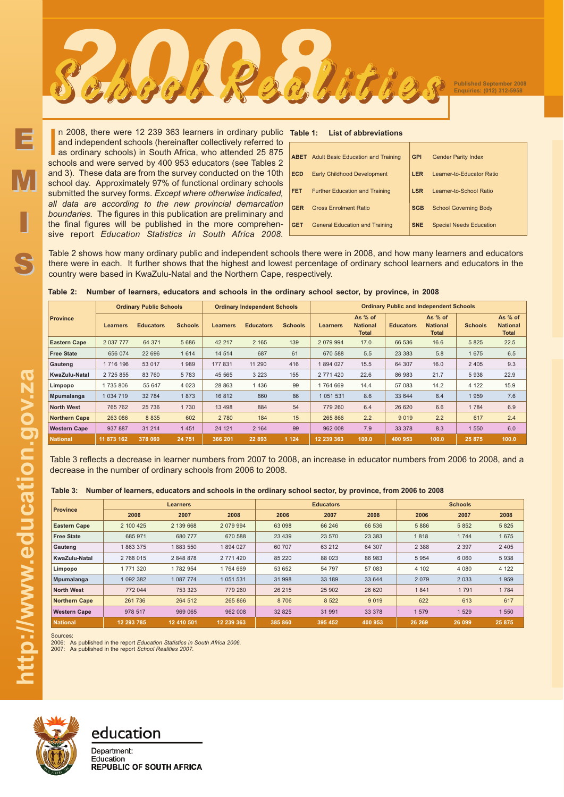In 2008, there were 12 239 363 learners in ordinary public and independent schools (hereinafter collectively referred to as ordinary schools) in South Africa, who attended 25 875 schools and were served by 400 953 educator n 2008, there were 12 239 363 learners in ordinary public and independent schools (hereinafter collectively referred to as ordinary schools) in South Africa, who attended 25 875 and 3). These data are from the survey conducted on the 10th school day. Approximately 97% of functional ordinary schools submitted the survey forms. *Except where otherwise indicated, all data are according to the new provincial demarcation boundaries.* The figures in this publication are preliminary and the final figures will be published in the more comprehensive report *Education Statistics in South Africa 2008.*

### **List of abbreviations**

| <b>ABET</b> Adult Basic Education and Training | <b>GPI</b> | <b>Gender Parity Index</b>     |
|------------------------------------------------|------------|--------------------------------|
| <b>Early Childhood Development</b>             | <b>LER</b> | Learner-to-Educator Ratio      |
| <b>Further Education and Training</b>          | <b>LSR</b> | Learner-to-School Ratio        |
| <b>Gross Enrolment Ratio</b>                   | <b>SGB</b> | <b>School Governing Body</b>   |
| <b>General Education and Training</b>          | <b>SNE</b> | <b>Special Needs Education</b> |
|                                                |            |                                |

Table 2 shows how many ordinary public and independent schools there were in 2008, and how many learners and educators there were in each. It further shows that the highest and lowest percentage of ordinary school learners and educators in the country were based in KwaZulu-Natal and the Northern Cape, respectively.

|                      | <b>Ordinary Public Schools</b> |                  |                | <b>Ordinary Independent Schools</b> |                  |                | <b>Ordinary Public and Independent Schools</b> |                                            |                  |                                            |                |                                            |  |
|----------------------|--------------------------------|------------------|----------------|-------------------------------------|------------------|----------------|------------------------------------------------|--------------------------------------------|------------------|--------------------------------------------|----------------|--------------------------------------------|--|
| <b>Province</b>      | Learners                       | <b>Educators</b> | <b>Schools</b> | <b>Learners</b>                     | <b>Educators</b> | <b>Schools</b> | <b>Learners</b>                                | As % of<br><b>National</b><br><b>Total</b> | <b>Educators</b> | As % of<br><b>National</b><br><b>Total</b> | <b>Schools</b> | As % of<br><b>National</b><br><b>Total</b> |  |
| <b>Eastern Cape</b>  | 2 037 777                      | 64 371           | 5 6 8 6        | 42 217                              | 2 1 6 5          | 139            | 2 079 994                                      | 17.0                                       | 66 536           | 16.6                                       | 5 8 2 5        | 22.5                                       |  |
| <b>Free State</b>    | 656 074                        | 22 696           | 1 6 1 4        | 14 5 14                             | 687              | 61             | 670 588                                        | 5.5                                        | 23 3 8 3         | 5.8                                        | 1 675          | 6.5                                        |  |
| Gauteng              | 1716 196                       | 53 017           | 1989           | 177 831                             | 11 290           | 416            | 1894 027                                       | 15.5                                       | 64 307           | 16.0                                       | 2 4 0 5        | 9.3                                        |  |
| KwaZulu-Natal        | 2 7 2 5 8 5 5                  | 83 760           | 5783           | 45 5 65                             | 3 2 2 3          | 155            | 2 771 420                                      | 22.6                                       | 86 983           | 21.7                                       | 5938           | 22.9                                       |  |
| Limpopo              | 1735806                        | 55 647           | 4 0 23         | 28 863                              | 1436             | 99             | 1764 669                                       | 14.4                                       | 57 083           | 14.2                                       | 4 1 2 2        | 15.9                                       |  |
| Mpumalanga           | 1 0 34 7 19                    | 32 784           | 1873           | 16812                               | 860              | 86             | 1 051 531                                      | 8.6                                        | 33 644           | 8.4                                        | 1959           | 7.6                                        |  |
| <b>North West</b>    | 765 762                        | 25 736           | 1730           | 13 4 98                             | 884              | 54             | 779 260                                        | 6.4                                        | 26 6 20          | 6.6                                        | 1 7 8 4        | 6.9                                        |  |
| <b>Northern Cape</b> | 263 086                        | 8 8 3 5          | 602            | 2 7 8 0                             | 184              | 15             | 265 866                                        | 2.2                                        | 9019             | 2.2                                        | 617            | 2.4                                        |  |
| <b>Western Cape</b>  | 937 887                        | 31 214           | 1 4 5 1        | 24 121                              | 2 1 6 4          | 99             | 962 008                                        | 7.9                                        | 33 378           | 8.3                                        | 1 550          | 6.0                                        |  |
| <b>National</b>      | 11 873 162                     | 378 060          | 24 751         | 366 201                             | 22 893           | 1 1 2 4        | 12 239 363                                     | 100.0                                      | 400 953          | 100.0                                      | 25 875         | 100.0                                      |  |

|  | Table 2: Number of learners, educators and schools in the ordinary school sector, by province, in 2008 |  |  |  |  |  |  |
|--|--------------------------------------------------------------------------------------------------------|--|--|--|--|--|--|
|--|--------------------------------------------------------------------------------------------------------|--|--|--|--|--|--|

School Realities School Realities

Table 3 reflects a decrease in learner numbers from 2007 to 2008, an increase in educator numbers from 2006 to 2008, and a decrease in the number of ordinary schools from 2006 to 2008.

## **Table 3: Number of learners, educators and schools in the ordinary school sector, by province, from 2006 to 2008**

| <b>Province</b>      |            | Learners   |            |         | <b>Educators</b> |          | <b>Schools</b> |         |         |  |
|----------------------|------------|------------|------------|---------|------------------|----------|----------------|---------|---------|--|
|                      | 2006       | 2007       | 2008       | 2006    | 2007             | 2008     | 2006           | 2007    | 2008    |  |
| <b>Eastern Cape</b>  | 2 100 425  | 2 139 668  | 2 079 994  | 63 098  | 66 246           | 66 536   | 5 8 8 6        | 5 8 5 2 | 5 8 2 5 |  |
| <b>Free State</b>    | 685 971    | 680 777    | 670 588    | 23 4 39 | 23 570           | 23 3 8 3 | 1818           | 1744    | 1675    |  |
| Gauteng              | 1863375    | 1883 550   | 1894027    | 60 70 7 | 63 212           | 64 307   | 2 3 8 8        | 2 3 9 7 | 2 4 0 5 |  |
| KwaZulu-Natal        | 2 768 015  | 2 848 878  | 2 771 420  | 85 220  | 88 023           | 86 983   | 5 9 5 4        | 6 0 6 0 | 5938    |  |
| Limpopo              | 1 771 320  | 1782954    | 1764 669   | 53 652  | 54 797           | 57 083   | 4 102          | 4 0 8 0 | 4 1 2 2 |  |
| Mpumalanga           | 1 092 382  | 1 087 774  | 1 051 531  | 31 998  | 33 189           | 33 644   | 2 0 7 9        | 2 0 3 3 | 1959    |  |
| <b>North West</b>    | 772 044    | 753 323    | 779 260    | 26 215  | 25 902           | 26 6 20  | 1841           | 1791    | 1784    |  |
| <b>Northern Cape</b> | 261 736    | 264 512    | 265 866    | 8 7 0 6 | 8 5 22           | 9019     | 622            | 613     | 617     |  |
| <b>Western Cape</b>  | 978 517    | 969 065    | 962 008    | 32 8 25 | 31 991           | 33 378   | 1579           | 1 529   | 1 5 5 0 |  |
| <b>National</b>      | 12 293 785 | 12 410 501 | 12 239 363 | 385 860 | 395 452          | 400 953  | 26 269         | 26 099  | 25 875  |  |

Sources<br>2006: /

2006: As published in the report *Education Statistics in South Africa 2006.* 2007: As published in the report *School Realities 2007.*



# education

Department: Education **REPUBLIC OF SOUTH AFRICA** 

E

M

I

S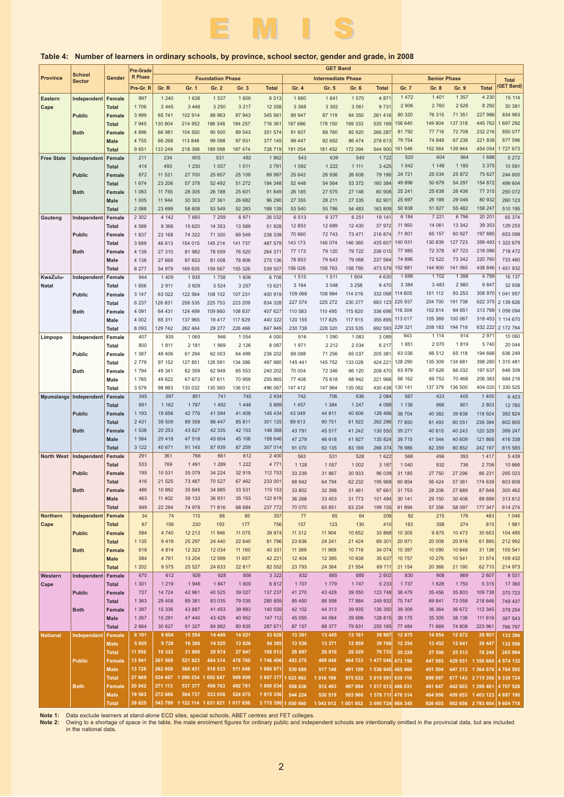

### **Province School Sector Gender Pre-Grade R Phase** Pre-Gr. R| Gr. R Gr. 1 Gr. 2 Gr. 3 Total | Gr. 4 Gr. 5 Gr. 6 Total | Gr. 7 Gr. 8 Gr. 9 Total **Foundation Phase Intermediate Phase Senior Phase Total (GET Band) GET Band Table 4: Number of learners in ordinary schools, by province, school sector, gender and grade, in 2008** EMIS E 345 597 851 741 745 2 934 691 1 162 1 787 1 492 1 448 5 889 1 193 19 656 42 776 41 594 41 408 145 434 2 431 39 509 89 358 86 447 85 811 301 125 1 538 20 253 43 627 42 335 42 153 148 368 1 584 20 418 47 518 45 604 45 106 158 646 3 122 40 671 91 145 87 939 87 259 307 014 291 361 766 661 612 2 400 533 769 1 491 1 289 1 222 4 771 195 10 531 35 079 34 224 32 919 112 753 416 21 525 73 487 70 527 67 462 233 00 486 10 892 35 845 34 885 33 531 115 153 463 11 402 39 133 36 931 35 153 122 619 949 22 294 74 978 71 816 68 684 237 772 34 74 110 88 85 357 67 156 230 193 177 756 584 4 740 12 213 11 946 11 075 39 974 1 135 9 419 25 297 24 440 22 640 81 796 618 4 814 12 323 12 034 11 160 40 331 584 4 761 13 204 12 599 11 657 42 221 1 202 9 575 25 527 24 633 22 817 82 552 670 612 926 928 856 3 322 742 706 636 2 084 1 457 1 384 1 247 4 088 43 049 44 811 40 606 128 466 89 613 90 751 81 922 262 286 43 791 45 517 41 242 130 550 47 279 46 618 41 927 135 824 91 070 92 135 83 169 266 374 563 531 528 1 622 1 128 1 057 1 002 3 187 33 239 31 867 30 933 96 039 68 942 64 794 62 232 195 968 33 802 32 398 31 461 97 661 36 268 33 453 31 773 101 494 70 070 65 851 63 234 199 155 77 65 64 206 157 123 130 410 11 312 11 904 10 652 33 868 23 636 24 241 21 424 69 30 11 389 11 969 10 716 34 074 12 404 12 395 10 838 35 637 23 793 24 364 21 554 69 711 832 885 885 2 602 567 433 405 1 405 1 136 866 801 2 803 38 704 40 382 39 838 118 924 77 850 81 493 80 051 239 394 39 271 40 815 40 243 120 329<br>39 715 41 544 40 609 121 868 39 715 41 544 40 609 121 868 78 986 82 359 80 852 242 197 568 456 393 1 417 1 040 932 736 2 708 31 185 27 750 27 296 86 231 60 854 56 424 57 361 174 639 31 753 28 206 27 689 87 648 30 141 29 150 30 408 89 699 61 894 57 356 58 097 177 347 92 215 176 483 183 358 274 815 10 305 9 875 10 473 30 653 20 971 20 008 20 916 61 89 10 397 10 090 10 649 31 136 10 757 10 276 10 541 31 574 21 154 20 366 21 190 62 710 830 908 869 2 607 392 824 802 805 399 247 416 338 815 585 295 023 603 608 300 462 313 812 614 274 104 495 212 992 105 541 109 432 214 973 **Eastern Cape Free State Gauteng KwaZulu-Natal Limpopo Mpumalanga North West Northern Cape Western Female Total Female Total Fema Male Total Female Total Fema Total Female Male Total Female Total Female Total Femal Male Total Female Total Female Total Female Male Total Femal Total Female Total Female Male Total Female Total Female Total Female Male Total Female Total Female Total Female Male Total Female Total Female Total Fema Male Total Female Independen Public Both Independent Public Both Independer Public Both Independent Public Both Independent Public Both**  $\vert$ Independen **Public Both Independen Public Both Independent Public Both Independent** 897 1 240 1 636 1 537 1 600 6 013 1 706 2 445 3 446 3 250 3 217 12 358 3 999 65 741 102 914 88 963 87 943 345 561 7 945 130 804 214 952 186 348 184 257 716 361 4 896 66 981 104 550 90 500 89 543 351 574 4 755 66 268 113 848 99 098 97 931 377 145 9 651 133 249 218 398 189 598 187 474 728 719 211 234 605 531 492 1 862 414 493 1 230 1 057 1 011 3 791 872 11 521 27 700 25 657 25 109 89 987 1 674 23 206 57 378 52 492 51 272 184 348 1 083 11 755 28 305 26 188 25 601 91 849 1 005 11 944 30 303 27 361 26 682 96 290 2 088 23 699 58 608 53 549 52 283 188 139 2 302 4 142 7 660 7 259 6 971 26 032 4 588 8 366 15 620 14 353 13 589 51 928 1 837 23 168 74 322 71 300 69 549 238 339 3 689 46 613 154 015 145 214 141 737 487 579 4 139 27 310 81 982 78 559 76 520 264 371 4 138 27 669 87 653 81 008 78 806 275 136 8 277 54 979 169 635 159 567 155 326 539 507 944 1 409 1 935 1 758 1 606 6 708 1 856 2 911 3 929 3 524 3 257 13 621 3 147 63 022 122 564 108 102 107 231 400 919 6 237 126 831 258 535 225 753 223 209 834 328 4 091 64 431 124 499 109 860 108 837 407 627 4 002 65 311 137 965 19 417 117 629 440 322 8 093 129 742 262 464 29 277 226 466 847 949 407 935 1 065 946 1 054 4 000 800 1 811 2 181 1 969 2 126 8 087 1 387 48 406 61 294 62 003 64 499 236 202 2 779 97 152 127 851 128 591 134 386 487 980 1 794 49 341 62 359 62 949 65 553 240 202 1 785 49 622 67 673 67 611 70 959 255 865 3 579 98 963 130 032 130 560 136 512 496 067 1 660 1 641 1 570 4 87 3 368 3 302 3 061 9 731 89 947 87 119 84 350 261 416 187 686 178 150 169 333 535 169 91 607 88 760 85 920 266 287 99 447 92 692 86 474 278 613 191 054 181 452 172 394 544 900 543 639 540 1 722 1 092 1 222 1 111 3 425 25 642 26 936 26 608 79 186 52 448 54 564 53 372 160 384 26 185 27 575 27 148 80 908 27 355 28 211 27 335 82 901 53 540 55 786 54 483 163 809 6 513 6 377 6 251 19 141 12 853 12 689 12 430 37 972 70 660 72 743 73 471 216 874 143 173 146 074 146 360 435 607 77 173 79 120 79 722 236 015 78 853 79 643 79 068 237 564 156 026 158 763 158 790 473 579 1 515 1 511 1 604 4 630 3 164 3 048 3 258 9 470 109 068 108 984 114 016 332 068 227 574 225 272 230 277 683 123 110 583 110 495 115 620 336 698 120 155 117 825 117 915 355 895 230 738 228 320 233 535 692 593 916 1 090 1 083 3 089 1 971 2 212 2 034 6 217 69 088 71 256 65 037 205 381 145 441 145 752 133 028 424 221 70 004 72 346 66 120 208 470 77 408 75 618 68 942 221 968 147 412 147 964 135 062 430 438 1 472 1 401 1 357 4 230 2 906 2 760 2 626 8 292 80 320 76 315 71 351 227 986 158 640 149 804 137 318 445 762 81 792 77 716 72 708 232 216 79 754 74 848 67 236 221 838 161 546 152 564 139 944 454 054 520 604 564 1 688 1 042 1 148 1 185 3 375 24 721 25 034 25 872 75 627 49 896 50 679 54 297 154 872 25 241 25 638 26 436 77 315 25 697 26 189 29 046 80 932 50 938 51 827 55 482 158 247 6 184 7 221 6 796 20 201 11 950 14 061 13 342 39 353 71 801 65 157 60 927 197 88 140 931 130 839 127 723 399 493 77 985 72 378 67 723 218 086 74 896 72 522 73 342 220 760 152 881 144 900 141 065 438 846 1 699 1 702 1 398 4 79 3 384 3 483 2 980 9 847 114 605 101 112 93 253 308 970 225 937 204 700 191 738 622 375 116 304 102 814 94 651 313 769 113 017 105 369 100 067 318 453 229 321 208 183 194 718 632 222 943 1 114 914 2 971 1 851 2 070 1 819 5 740 63 036 66 512 65 118 194 666 128 290 135 309 134 681 398 280 63 979 67 626 66 032 197 637 66 162 69 753 70 468 206 383 130 141 137 379 136 500 404 020 834 963 697 292 850 077 877 596 1 727 673 244 800 499 604 250 072 260 123 510 195 129 253 653 098 1 322 679 718 472 733 460 1 451 932 1 041 957 2 139 826 1 058 094 1 114 670 2 172 764 636 249 1 310 481 646 309 684 216 330 525

**Note 1:** Data exclude learners at stand-alone ECD sites, special schools, ABET centres and FET colleges.<br>Note 2: Owing to a shortage of space in the table, the male enrolment figures for ordinary public and inde

**Cape**

**Total Female Total Female Male Total Female Male Total Female Male Total Female Male Total**

**Public Both**

**Independent**

**Public**

**Both**

**National**

1 301 1 219 1 946 1 847 1 800 6 812 727 14 724 42 961 40 525 39 027 137 237 1 363 29 408 89 381 83 035 79 035 280 859 1 397 15 336 43 887 41 453 39 883 140 559 1 267 15 291 47 440 43 429 40 952 147 112 2 664 30 627 91 327 84 882 80 835 287 671 **6 101 9 604 15 554 14 449 14 021 53 628 5 855 9 728 16 306 14 525 13 826 54 385 11 956 19 332 31 860 28 974 27 847 108 013 13 941 261 509 521 823 484 314 478 760 1 746 406 13 728 262 958 568 431 518 533 511 049 1 860 971 27 669 524 467 1 090 254 1 002 847 989 809 3 607 377 20 042 271 113 537 377 498 763 492 781 1 800 034 19 583 272 686 584 737 533 058 524 875 1 915 356 39 625 543 799 1 122 114 1 031 821 1 017 656 3 715 390**

**Note 2:** Owing to a shortage of space in the table, the male enrolment figures for ordinary public and independent schools are intentionally omitted in the provincial data, but are included in the national data**.**

6 423 12 780

15 114  $30.38'$ 

5 272 10 591

65 374

16 137 32 938

10 060 20 044

5 439 10 666

> 1 046 1 981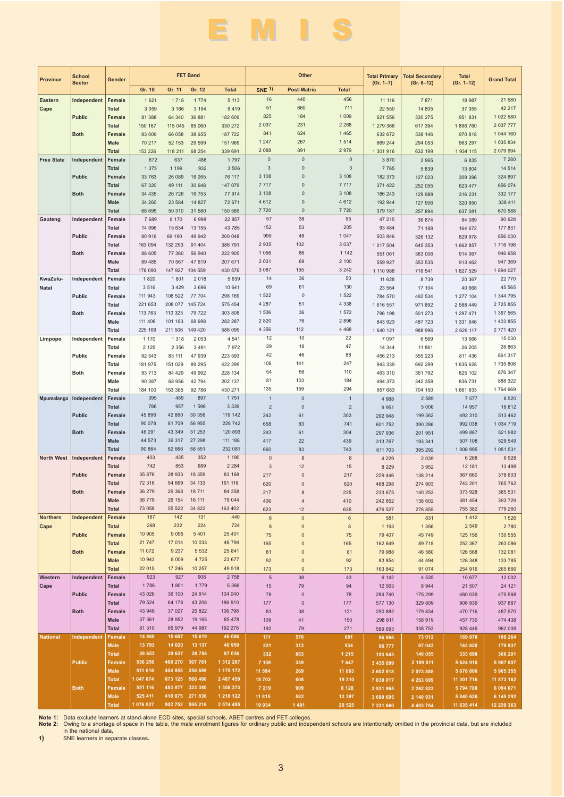# EMIS

|                   | <b>School</b> |                               |                    |                                    | <b>FET Band</b>    |                        | Other              |                          | <b>Total Primary</b> | <b>Total Secondary</b> | <b>Total</b>               |                         |                          |
|-------------------|---------------|-------------------------------|--------------------|------------------------------------|--------------------|------------------------|--------------------|--------------------------|----------------------|------------------------|----------------------------|-------------------------|--------------------------|
| <b>Province</b>   | <b>Sector</b> | Gender                        | Gr. 10             | Gr. 11                             | Gr. 12             | <b>Total</b>           | <b>SNE 1)</b>      | <b>Post-Matric</b>       | <b>Total</b>         | $(Gr. 1-7)$            | $(Gr. 8-12)$               | $(Gr. 1-12)$            | <b>Grand Total</b>       |
| <b>Eastern</b>    | Independent   | Female                        | 1 6 2 1            | 1718                               | 1 7 7 4            | 5 1 1 3                | 16                 | 440                      | 456                  | 11 116                 | 7 8 7 1                    | 18 987                  | 21 580                   |
| Cape              |               | Total                         | 3 0 5 9            | 3 1 6 6                            | 3 1 9 4            | 9419                   | 51                 | 660                      | 711                  | 22 550                 | 14 805                     | 37 355                  | 42 217                   |
|                   | <b>Public</b> | Female                        | 81 388             | 64 340                             | 36 881             | 182 609                | 825                | 184                      | 1 0 0 9              | 621 556                | 330 275                    | 951831                  | 1 022 580                |
|                   | <b>Both</b>   | <b>Total</b><br>Female        | 150 167<br>83 009  | 115 045<br>66 058                  | 65 060<br>38 655   | 330 272<br>187 722     | 2 0 3 7<br>841     | 231<br>624               | 2 2 6 8<br>1 4 6 5   | 1 279 366<br>632 672   | 617 394<br>338 146         | 1896760<br>970 818      | 2 0 37 7 77<br>1 044 160 |
|                   |               | <b>Male</b>                   | 70 217             | 52 153                             | 29 5 9 9           | 151 969                | 1 2 4 7            | 267                      | 1514                 | 669 244                | 294 053                    | 963 297                 | 1 0 3 5 8 3 4            |
|                   |               | <b>Total</b>                  | 153 226            | 118 211                            | 68 254             | 339 691                | 2 0 8 8            | 891                      | 2979                 | 1 301 916              | 632 199                    | 1934 115                | 2 079 994                |
| <b>Free State</b> | Independent   | Female                        | 672                | 637                                | 488                | 1 7 9 7                | $\overline{0}$     | $\mathbf 0$              | 0                    | 3 8 7 0                | 2 9 6 5                    | 6835                    | 7 2 8 0                  |
|                   |               | <b>Total</b>                  | 1 3 7 5            | 1 1 9 9                            | 932                | 3 5 0 6                | 3                  | $\mathsf 0$              | 3                    | 7 7 6 5                | 5 8 3 9                    | 13 604                  | 14 514                   |
|                   | <b>Public</b> | Female<br><b>Total</b>        | 33 763             | 26 089                             | 16 265<br>30 648   | 76 117<br>147 079      | 3 1 0 8<br>7 7 1 7 | $\mathbf{0}$<br>$\Omega$ | 3 1 0 8<br>7 7 1 7   | 182 373                | 127 023                    | 309 396<br>623 477      | 324 897<br>656 074       |
|                   | <b>Both</b>   | Female                        | 67 320<br>34 4 35  | 49 111<br>26 726                   | 16 753             | 77 914                 | 3 1 0 8            | $\Omega$                 | 3 1 0 8              | 371 422<br>186 243     | 252 055<br>129 988         | 316 231                 | 332 177                  |
|                   |               | Male                          | 34 260             | 23 5 84                            | 14 827             | 72 671                 | 4 6 1 2            | $\mathbf{0}$             | 4 6 1 2              | 192 944                | 127 906                    | 320 850                 | 338 411                  |
|                   |               | <b>Total</b>                  | 68 695             | 50 310                             | 31 580             | 150 585                | 7720               | $\mathbf{0}$             | 7720                 | 379 187                | 257 894                    | 637 081                 | 670 588                  |
| Gauteng           | Independent   | Female                        | 7689               | 8 170                              | 6998               | 22 857                 | 57                 | 38                       | 95                   | 47 215                 | 36 874                     | 84 089                  | 90 628                   |
|                   | <b>Public</b> | <b>Total</b><br>Female        | 14 996<br>80 916   | 15 634<br>69 190                   | 13 155<br>49 942   | 43 785<br>200 048      | 152<br>999         | 53<br>48                 | 205<br>1 0 4 7       | 93 4 84<br>503 846     | 71 188<br>326 132          | 164 672                 | 177 831<br>856 030       |
|                   |               | <b>Total</b>                  | 163 094            | 132 293                            | 91 404             | 386 791                | 2 9 3 5            | 102                      | 3 0 3 7              | 1 017 504              | 645 353                    | 829 978<br>1 662 857    | 1716 196                 |
|                   | <b>Both</b>   | Female                        | 88 605             | 77 360                             | 56 940             | 222 905                | 1 0 5 6            | 86                       | 1 1 4 2              | 551 061                | 363 006                    | 914 067                 | 946 658                  |
|                   |               | Male                          | 89 485             | 70 567                             | 47 619             | 207 671                | 2 0 3 1            | 69                       | 2 100                | 559 927                | 353 535                    | 913 462                 | 947 369                  |
|                   |               | <b>Total</b>                  | 178 090            | 147 927                            | 104 559            | 430 576                | 3 0 8 7            | 155                      | 3 2 4 2              | 1 110 988              | 716 541                    | 1827529                 | 1894 027                 |
| KwaZulu-          | Independent   | Female                        | 1820               | 1801                               | 2 0 18             | 5 6 3 9                | 14<br>69           | 36<br>61                 | 50<br>130            | 11 628                 | 8 7 3 9                    | 20 367                  | 22 770<br>45 565         |
| <b>Natal</b>      | Public        | Total<br>Female               | 3516<br>111 943    | 3 4 2 9<br>108 522                 | 3696<br>77 704     | 10 641<br>298 169      | 1 5 2 2            | $\mathbf 0$              | 1 5 2 2              | 23 5 64<br>784 570     | 17 104<br>492 534          | 40 668<br>1 277 104     | 1 344 795                |
|                   |               | Total                         | 221 653            | 208 077                            | 145 724            | 575 454                | 4 2 8 7            | 51                       | 4 3 3 8              | 1 616 557              | 971 892                    | 2 588 449               | 2 725 855                |
|                   | <b>Both</b>   | Female                        | 113 763            | 110 323                            | 79 722             | 303 808                | 1 5 3 6            | 36                       | 1572                 | 796 198                | 501 273                    | 1 297 471               | 1 367 565                |
|                   |               | Male                          | 111 406            | 101 183                            | 69 698             | 282 287                | 2 8 2 0            | 76                       | 2896                 | 843 923                | 487 723                    | 1 331 646               | 1 403 855                |
|                   |               | <b>Total</b>                  | 225 169            | 211 506                            | 149 420            | 586 095                | 4 3 5 6<br>12      | 112<br>10                | 4 4 6 8<br>22        | 1 640 121              | 988 996                    | 2 6 29 117              | 2 771 420<br>15 030      |
| Limpopo           | Independent   | Female<br>Total               | 1 1 7 0<br>2 1 2 5 | 1 3 1 8<br>2 3 5 6                 | 2 0 5 3<br>3 4 9 1 | 4 5 4 1<br>7972        | 29                 | 18                       | 47                   | 7 0 9 7<br>14 344      | 6 5 6 9<br>11 861          | 13 666<br>26 205        | 28 863                   |
|                   | Public        | Female                        | 92 543             | 83 111                             | 47 939             | 223 593                | 42                 | 46                       | 88                   | 456 213                | 355 223                    | 811 436                 | 861 317                  |
|                   |               | Total                         | 181 975            | 151 029                            | 89 295             | 422 299                | 106                | 141                      | 247                  | 943 339                | 692 289                    | 1 635 628               | 1735806                  |
|                   | <b>Both</b>   | Female                        | 93 713             | 84 429                             | 49 992             | 228 134                | 54                 | 56                       | 110                  | 463 310                | 361 792                    | 825 102                 | 876 347                  |
|                   |               | Male                          | 90 387             | 68 956                             | 42 794             | 202 137                | 81<br>135          | 103<br>159               | 184<br>294           | 494 373                | 342 358                    | 836 731                 | 888 322<br>1764 669      |
| Mpumalanga        | Independent   | Total<br>Female               | 184 100<br>395     | 153 385<br>459                     | 92786<br>897       | 430 271<br>1751        | $\overline{1}$     | $\mathbf 0$              | $\mathbf{1}$         | 957 683<br>4988        | 704 150<br>2 5 8 9         | 1 661 833<br>7 5 7 7    | 8 5 20                   |
|                   |               | <b>Total</b>                  | 786                | 957                                | 1 5 9 6            | 3 3 3 9                | $\overline{2}$     | $\mathbf 0$              | $\overline{2}$       | 9951                   | 5 0 0 6                    | 14 957                  | 16812                    |
|                   | <b>Public</b> | Female                        | 45 896             | 42 890                             | 30 356             | 119 142                | 242                | 61                       | 303                  | 292 948                | 199 362                    | 492 310                 | 513 462                  |
|                   |               | <b>Total</b>                  | 90 078             | 81709                              | 56 955             | 228 742                | 658                | 83                       | 741                  | 601 752                | 390 286                    | 992 038                 | 1 0 34 7 19              |
|                   | <b>Both</b>   | Female<br>Male                | 46 291<br>44 573   | 43 349<br>39 317                   | 31 253<br>27 298   | 120 893<br>111 188     | 243<br>417         | 61<br>22                 | 304<br>439           | 297 936<br>313 767     | 201 951<br>193 341         | 499 887<br>507 108      | 521 982<br>529 549       |
|                   |               | <b>Total</b>                  | 90 864             | 82 666                             | 58 551             | 232 081                | 660                | 83                       | 743                  | 611 703                | 395 292                    | 1 006 995               | 1 051 531                |
| <b>North West</b> | Independent   | Female                        | 403                | 435                                | 352                | 1 1 9 0                | $\mathbf 0$        | $\boldsymbol{8}$         | 8                    | 4 2 2 9                | 2 0 3 9                    | 6 2 6 8                 | 6928                     |
|                   |               | <b>Total</b>                  | 742                | 853                                | 689                | 2 2 8 4                | 3                  | 12                       | 15                   | 8 2 2 9                | 3 9 5 2                    | 12 181                  | 13 4 98                  |
|                   | <b>Public</b> | Female                        | 35 876<br>72 316   | 28 933<br>54 669                   | 18 359<br>34 133   | 83 168                 | 217                | $\bf 0$                  | 217                  | 229 446                | 138 214                    | 367 660                 | 378 603                  |
|                   | Both          | <b>Total</b><br>Female        | 36 279             | 29 368                             | 18 711             | 161 118<br>84 358      | 620<br>217         | $\mathsf 0$<br>8         | 620<br>225           | 468 298<br>233 675     | 274 903<br>140 253         | 743 201<br>373 928      | 765 762<br>385 531       |
|                   |               | Male                          | 36 779             | 26 154                             | 16 111             | 79 044                 | 406                | $\overline{4}$           | 410                  | 242 852                | 138 602                    | 381 454                 | 393 729                  |
|                   |               | <b>Total</b>                  | 73 058             | 55 522                             | 34 822             | 163 402                | 623                | 12                       | 635                  | 476 527                | 278 855                    | 755 382                 | 779 260                  |
| <b>Northern</b>   | Independent   | Female                        | 167                | 142                                | 131                | 440                    | $\,6\,$            | $\mathsf{O}\xspace$      | $\,6\,$              | 581                    | 831                        | 1412                    | 1 5 2 6                  |
| Cape              | <b>Public</b> | Total<br>Female               | 268<br>10 905      | 232<br>9 0 9 5                     | 224<br>5 4 0 1     | 724<br>25 401          | $\bf 8$            | $\pmb{0}$                | $\bf 8$              | 1 1 9 3                | 1 3 5 6                    | 2 5 4 9<br>125 156      | 2 7 8 0<br>130 555       |
|                   |               | Total                         | 21 747             | 17 014                             | 10 033             | 48 794                 | 75<br>165          | $\pmb{0}$<br>$\mathbf 0$ | 75<br>165            | 79 40 7<br>162 649     | 45 749<br>89 718           | 252 367                 | 263 086                  |
|                   | <b>Both</b>   | Female                        | 11 072             | 9 2 3 7                            | 5 5 3 2            | 25 841                 | 81                 | $\pmb{0}$                | 81                   | 79 988                 | 46 580                     | 126 568                 | 132 081                  |
|                   |               | <b>Male</b>                   | 10 943             | 8 0 0 9                            | 4 7 2 5            | 23 677                 | 92                 | $\pmb{0}$                | 92                   | 83 854                 | 44 4 94                    | 128 348                 | 133 785                  |
|                   |               | <b>Total</b>                  | 22 015             | 17 24 6                            | 10 257             | 49 518                 | 173                | $\mathbf 0$              | 173                  | 163 842                | 91 0 74                    | 254 916                 | 265 866                  |
| Western<br>Cape   | Independent   | Female<br>Total               | 923<br>1786        | 927<br>1801                        | 908<br>1779        | 2 7 5 8<br>5 3 6 6     | $\,$ 5 $\,$<br>15  | 38<br>79                 | 43<br>94             | 6 1 4 2<br>12 5 63     | 4 5 3 5<br>8 9 4 4         | 10 677<br>21 507        | 12 002<br>24 121         |
|                   | <b>Public</b> | Female                        | 43 0 26            | 36 100                             | 24 914             | 104 040                | 78                 | $\pmb{0}$                | 78                   | 284 740                | 175 299                    | 460 039                 | 475 568                  |
|                   |               | Total                         | 79 524             | 64 178                             | 43 208             | 186 910                | 177                | $\pmb{0}$                | 177                  | 577 130                | 329 809                    | 906 939                 | 937 887                  |
|                   | <b>Both</b>   | Female                        | 43 949             | 37 027                             | 25 822             | 106 798                | 83                 | 38                       | 121                  | 290 882                | 179 834                    | 470 716                 | 487 570                  |
|                   |               | <b>Male</b>                   | 37 361             | 28 952                             | 19 165             | 85 478                 | 109                | 41                       | 150                  | 298 811                | 158 919                    | 457 730                 | 474 438                  |
| <b>National</b>   | Independent   | <b>Total</b><br>Female        | 81 310<br>14 860   | 65 979<br>15 607                   | 44 987<br>15 619   | 192 276<br>46 086      | 192<br>111         | 79<br>570                | 271<br>681           | 589 693<br>96 866      | 338 753<br>73 012          | 928 446<br>169 878      | 962 008<br>186 264       |
|                   |               | <b>Male</b>                   | 13 793             | 14 0 20                            | 13 137             | 40 950                 | 221                | 313                      | 534                  | 96 777                 | 67 043                     | 163 820                 | 179 937                  |
|                   |               | <b>Total</b>                  | 28 653             | 29 627                             | 28 756             | 87 036                 | 332                | 883                      | 1 2 1 5              | 193 643                | 140 055                    | 333 698                 | 366 201                  |
|                   | <b>Public</b> | <b>Female</b>                 | 536 256            | 468 270 307 761                    |                    | 1 312 287              | 7 108              | 339                      | 7 4 4 7              | 3 435 099              | 2 189 811                  | 5 624 910               | 5 907 807                |
|                   |               | <b>Male</b>                   | 511 618<br>047 874 | 404 855 258 699<br>873 125 566 460 |                    | 1 175 172<br>2 487 459 | 11 594             | 269                      | 11 863               | 3 602 918              | 2 073 888                  | 5 676 806               | 5 965 355                |
|                   | <b>Both</b>   | <b>Total</b><br><b>Female</b> | 551 116            | 483 877 323 380                    |                    | 1 358 373              | 18702<br>7 2 1 9   | 608<br>909               | 19 310<br>8 1 2 8    | 7 038 017<br>3 531 965 | 4 263 699<br>2 2 6 2 8 2 3 | 11 301 716<br>5 794 788 | 11 873 162<br>6 094 071  |
|                   |               | <b>Male</b>                   | 525 411            | 418 875 271 836                    |                    | 1 216 122              | 11 815             | 582                      | 12 397               | 3 699 695              | 2 140 931                  | 5 840 626               | 6 145 292                |
|                   |               | <b>Total</b>                  | 1 076 527          | 902 752 595 216                    |                    | 2 574 495              | 19 034             | 1 4 9 1                  | 20 5 25              | 7 231 660              | 4 4 0 3 7 5 4              | 11 635 414              | 12 239 363               |

Note 1: Data exclude learners at stand-alone ECD sites, special schools, ABET centres and FET colleges.<br>Note 2: Owing to a shortage of space in the table, the male enrolment figures for ordinary public and independent scho

**1)** SNE learners in separate classes**.**